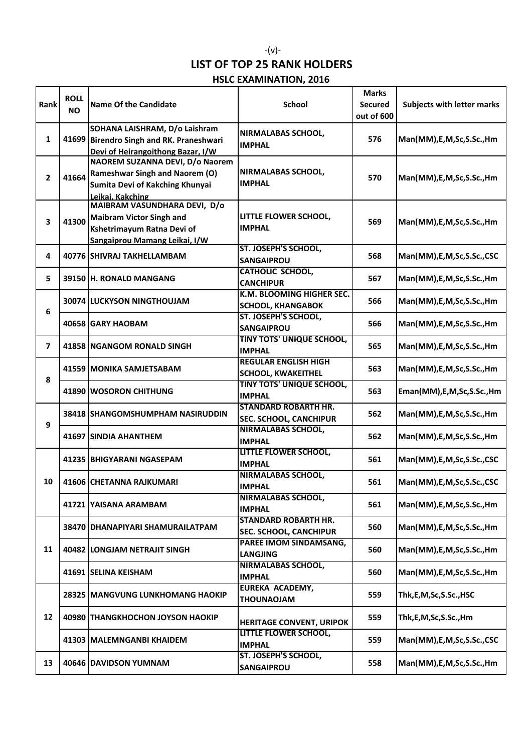| <b>LIST OF TOP 25 RANK HOLDERS</b> |  |
|------------------------------------|--|
| <b>HSLC EXAMINATION, 2016</b>      |  |

|                          | <b>ROLL</b> |                                                                      |                                                               | <b>Marks</b>   |                                   |                      |
|--------------------------|-------------|----------------------------------------------------------------------|---------------------------------------------------------------|----------------|-----------------------------------|----------------------|
| Rank                     | <b>NO</b>   | <b>Name Of the Candidate</b>                                         | <b>School</b>                                                 | <b>Secured</b> | <b>Subjects with letter marks</b> |                      |
|                          |             |                                                                      |                                                               | out of 600     |                                   |                      |
|                          |             | SOHANA LAISHRAM, D/o Laishram                                        | NIRMALABAS SCHOOL,                                            |                |                                   |                      |
| 1                        |             | 41699 Birendro Singh and RK. Praneshwari                             | <b>IMPHAL</b>                                                 | 576            | Man(MM), E, M, Sc, S.Sc., Hm      |                      |
|                          |             | Devi of Heirangoithong Bazar, I/W<br>NAOREM SUZANNA DEVI, D/o Naorem |                                                               |                |                                   |                      |
|                          |             | <b>Rameshwar Singh and Naorem (O)</b>                                | NIRMALABAS SCHOOL,                                            |                |                                   |                      |
| $\mathbf{2}$             | 41664       | Sumita Devi of Kakching Khunyai                                      | <b>IMPHAL</b>                                                 | 570            | Man(MM), E, M, Sc, S.Sc., Hm      |                      |
|                          |             | Leikai. Kakching                                                     |                                                               |                |                                   |                      |
|                          |             | MAIBRAM VASUNDHARA DEVI, D/o                                         |                                                               |                |                                   |                      |
| 3                        | 41300       | <b>Maibram Victor Singh and</b>                                      | LITTLE FLOWER SCHOOL,<br><b>IMPHAL</b>                        | 569            | Man(MM), E, M, Sc, S.Sc., Hm      |                      |
|                          |             | Kshetrimayum Ratna Devi of                                           |                                                               |                |                                   |                      |
|                          |             | Sangaiprou Mamang Leikai, I/W                                        | ST. JOSEPH'S SCHOOL,                                          |                |                                   |                      |
| 4                        |             | 40776 SHIVRAJ TAKHELLAMBAM                                           | <b>SANGAIPROU</b>                                             | 568            | Man(MM), E, M, Sc, S.Sc., CSC     |                      |
|                          |             |                                                                      | <b>CATHOLIC SCHOOL,</b>                                       |                |                                   |                      |
| 5.                       |             | 39150 H. RONALD MANGANG                                              | <b>CANCHIPUR</b>                                              | 567            | Man(MM), E, M, Sc, S.Sc., Hm      |                      |
|                          |             |                                                                      | K.M. BLOOMING HIGHER SEC.                                     |                |                                   |                      |
|                          |             | 30074 LUCKYSON NINGTHOUJAM                                           | <b>SCHOOL, KHANGABOK</b>                                      | 566            | Man(MM), E, M, Sc, S.Sc., Hm      |                      |
| 6                        |             | 40658 GARY HAOBAM                                                    | ST. JOSEPH'S SCHOOL,                                          |                |                                   |                      |
|                          |             |                                                                      | <b>SANGAIPROU</b>                                             | 566            | Man(MM), E, M, Sc, S.Sc., Hm      |                      |
| $\overline{\phantom{a}}$ |             | 41858 NGANGOM RONALD SINGH                                           | <b>TINY TOTS' UNIQUE SCHOOL,</b>                              | 565            | Man(MM), E, M, Sc, S.Sc., Hm      |                      |
|                          |             |                                                                      | <b>IMPHAL</b>                                                 |                |                                   |                      |
|                          |             | 41559 MONIKA SAMJETSABAM                                             | <b>REGULAR ENGLISH HIGH</b>                                   | 563            | Man(MM), E, M, Sc, S.Sc., Hm      |                      |
| 8                        |             |                                                                      | <b>SCHOOL, KWAKEITHEL</b><br><b>TINY TOTS' UNIQUE SCHOOL,</b> |                |                                   |                      |
|                          |             | 41890 WOSORON CHITHUNG                                               | <b>IMPHAL</b>                                                 | 563            | Eman(MM), E, M, Sc, S.Sc., Hm     |                      |
|                          |             |                                                                      | <b>STANDARD ROBARTH HR.</b>                                   |                |                                   |                      |
|                          |             | 38418 SHANGOMSHUMPHAM NASIRUDDIN                                     | <b>SEC. SCHOOL, CANCHIPUR</b>                                 | 562            | Man(MM), E, M, Sc, S.Sc., Hm      |                      |
| 9                        |             |                                                                      | <b>NIRMALABAS SCHOOL,</b>                                     |                |                                   |                      |
|                          |             | 41697 SINDIA AHANTHEM                                                | <b>IMPHAL</b>                                                 | 562            | Man(MM), E, M, Sc, S.Sc., Hm      |                      |
|                          |             |                                                                      | LITTLE FLOWER SCHOOL,                                         |                |                                   |                      |
|                          |             | 41235 BHIGYARANI NGASEPAM                                            | <b>IMPHAL</b>                                                 | 561            | Man(MM), E, M, Sc, S.Sc., CSC     |                      |
| 10                       |             | 41606 CHETANNA RAJKUMARI                                             | NIRMALABAS SCHOOL,                                            | 561            | Man(MM), E, M, Sc, S.Sc., CSC     |                      |
|                          |             |                                                                      | <b>IMPHAL</b>                                                 |                |                                   |                      |
|                          |             | 41721 YAISANA ARAMBAM                                                | NIRMALABAS SCHOOL,                                            | 561            | Man(MM), E, M, Sc, S.Sc., Hm      |                      |
|                          |             |                                                                      | <b>IMPHAL</b><br><b>STANDARD ROBARTH HR.</b>                  |                |                                   |                      |
|                          |             | 38470 DHANAPIYARI SHAMURAILATPAM                                     | <b>SEC. SCHOOL, CANCHIPUR</b>                                 | 560            | Man(MM), E, M, Sc, S.Sc., Hm      |                      |
|                          |             |                                                                      | PAREE IMOM SINDAMSANG,                                        |                |                                   |                      |
| 11                       |             | 40482 LONGJAM NETRAJIT SINGH                                         | <b>LANGJING</b>                                               | 560            | Man(MM), E, M, Sc, S.Sc., Hm      |                      |
|                          |             |                                                                      | NIRMALABAS SCHOOL,                                            |                |                                   |                      |
|                          |             | 41691 SELINA KEISHAM                                                 | <b>IMPHAL</b>                                                 | 560            | Man(MM), E, M, Sc, S.Sc., Hm      |                      |
| 12                       |             |                                                                      | <b>EUREKA ACADEMY,</b>                                        |                |                                   |                      |
|                          |             | <b>28325  MANGVUNG LUNKHOMANG HAOKIP</b>                             | <b>THOUNAOJAM</b>                                             |                | 559                               | Thk,E,M,Sc,S.Sc.,HSC |
|                          |             | <b>40980 THANGKHOCHON JOYSON HAOKIP</b>                              | <b>HERITAGE CONVENT, URIPOK</b>                               | 559            | Thk,E,M,Sc,S.Sc.,Hm               |                      |
|                          |             |                                                                      | LITTLE FLOWER SCHOOL,                                         |                |                                   |                      |
|                          |             | 41303   MALEMNGANBI KHAIDEM                                          | <b>IMPHAL</b>                                                 | 559            | Man(MM), E, M, Sc, S.Sc., CSC     |                      |
| 13                       |             | 40646 DAVIDSON YUMNAM                                                | ST. JOSEPH'S SCHOOL,                                          | 558            | Man(MM), E, M, Sc, S.Sc., Hm      |                      |
|                          |             |                                                                      | SANGAIPROU                                                    |                |                                   |                      |

-(v)-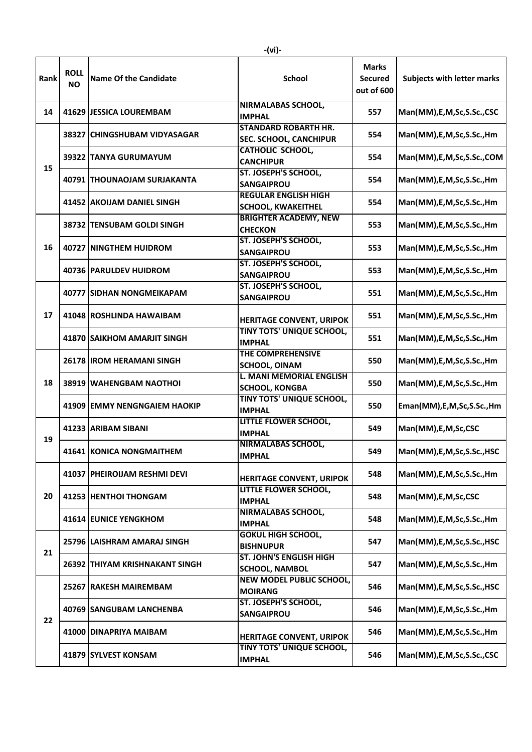| Rank | <b>ROLL</b><br><b>NO</b> | <b>Name Of the Candidate</b>       | <b>School</b>                                            | <b>Marks</b><br><b>Secured</b><br>out of 600 | <b>Subjects with letter marks</b> |
|------|--------------------------|------------------------------------|----------------------------------------------------------|----------------------------------------------|-----------------------------------|
| 14   |                          | 41629 JESSICA LOUREMBAM            | NIRMALABAS SCHOOL,<br><b>IMPHAL</b>                      | 557                                          | Man(MM), E, M, Sc, S.Sc., CSC     |
| 15   |                          | 38327 CHINGSHUBAM VIDYASAGAR       | <b>STANDARD ROBARTH HR.</b><br>SEC. SCHOOL, CANCHIPUR    | 554                                          | Man(MM), E, M, Sc, S.Sc., Hm      |
|      |                          | 39322 TANYA GURUMAYUM              | <b>CATHOLIC SCHOOL,</b><br><b>CANCHIPUR</b>              | 554                                          | Man(MM), E, M, Sc, S.Sc., COM     |
|      |                          | <b>40791 THOUNAOJAM SURJAKANTA</b> | ST. JOSEPH'S SCHOOL,<br><b>SANGAIPROU</b>                | 554                                          | Man(MM), E, M, Sc, S.Sc., Hm      |
|      |                          | 41452 AKOIJAM DANIEL SINGH         | <b>REGULAR ENGLISH HIGH</b><br><b>SCHOOL, KWAKEITHEL</b> | 554                                          | Man(MM), E, M, Sc, S.Sc., Hm      |
| 16   |                          | 38732 TENSUBAM GOLDI SINGH         | <b>BRIGHTER ACADEMY, NEW</b><br><b>CHECKON</b>           | 553                                          | Man(MM), E, M, Sc, S.Sc., Hm      |
|      |                          | 40727 NINGTHEM HUIDROM             | ST. JOSEPH'S SCHOOL,<br><b>SANGAIPROU</b>                | 553                                          | Man(MM), E, M, Sc, S.Sc., Hm      |
|      |                          | 40736 PARULDEV HUIDROM             | ST. JOSEPH'S SCHOOL,<br><b>SANGAIPROU</b>                | 553                                          | Man(MM), E, M, Sc, S.Sc., Hm      |
| 17   |                          | 40777 SIDHAN NONGMEIKAPAM          | ST. JOSEPH'S SCHOOL,<br><b>SANGAIPROU</b>                | 551                                          | Man(MM), E, M, Sc, S.Sc., Hm      |
|      |                          | 41048 ROSHLINDA HAWAIBAM           | <b>HERITAGE CONVENT, URIPOK</b>                          | 551                                          | Man(MM), E, M, Sc, S.Sc., Hm      |
|      |                          | <b>41870 SAIKHOM AMARJIT SINGH</b> | <b>TINY TOTS' UNIQUE SCHOOL,</b><br><b>IMPHAL</b>        | 551                                          | Man(MM), E, M, Sc, S.Sc., Hm      |
| 18   |                          | 26178   IROM HERAMANI SINGH        | <b>THE COMPREHENSIVE</b><br><b>SCHOOL, OINAM</b>         | 550                                          | Man(MM), E, M, Sc, S.Sc., Hm      |
|      |                          | 38919 WAHENGBAM NAOTHOI            | L. MANI MEMORIAL ENGLISH<br><b>SCHOOL, KONGBA</b>        | 550                                          | Man(MM), E, M, Sc, S.Sc., Hm      |
|      |                          | 41909 EMMY NENGNGAIEM HAOKIP       | <b>TINY TOTS' UNIQUE SCHOOL,</b><br><b>IMPHAL</b>        | 550                                          | Eman(MM), E, M, Sc, S.Sc., Hm     |
| 19   |                          | 41233 ARIBAM SIBANI                | LITTLE FLOWER SCHOOL,<br><b>IMPHAL</b>                   | 549                                          | Man(MM), E, M, Sc, CSC            |
|      |                          | 41641 KONICA NONGMAITHEM           | NIRMALABAS SCHOOL,<br><b>IMPHAL</b>                      | 549                                          | Man(MM), E, M, Sc, S.Sc., HSC     |
| 20   |                          | 41037   PHEIROIJAM RESHMI DEVI     | <b>HERITAGE CONVENT, URIPOK</b>                          | 548                                          | Man(MM), E, M, Sc, S.Sc., Hm      |
|      |                          | <b>41253 HENTHOI THONGAM</b>       | LITTLE FLOWER SCHOOL,<br><b>IMPHAL</b>                   | 548                                          | Man(MM), E, M, Sc, CSC            |
|      |                          | <b>41614 EUNICE YENGKHOM</b>       | <b>NIRMALABAS SCHOOL,</b><br><b>IMPHAL</b>               | 548                                          | Man(MM), E, M, Sc, S.Sc., Hm      |
| 21   |                          | 25796 LAISHRAM AMARAJ SINGH        | <b>GOKUL HIGH SCHOOL,</b><br><b>BISHNUPUR</b>            | 547                                          | Man(MM), E, M, Sc, S.Sc., HSC     |
|      |                          | 26392 THIYAM KRISHNAKANT SINGH     | <b>ST. JOHN'S ENGLISH HIGH</b><br><b>SCHOOL, NAMBOL</b>  | 547                                          | Man(MM), E, M, Sc, S.Sc., Hm      |
| 22   |                          | 25267 RAKESH MAIREMBAM             | <b>NEW MODEL PUBLIC SCHOOL,</b><br><b>MOIRANG</b>        | 546                                          | Man(MM), E, M, Sc, S.Sc., HSC     |
|      |                          | 40769 SANGUBAM LANCHENBA           | ST. JOSEPH'S SCHOOL,<br><b>SANGAIPROU</b>                | 546                                          | Man(MM), E, M, Sc, S.Sc., Hm      |
|      |                          | 41000 DINAPRIYA MAIBAM             | <b>HERITAGE CONVENT, URIPOK</b>                          | 546                                          | Man(MM), E, M, Sc, S.Sc., Hm      |
|      |                          | 41879 SYLVEST KONSAM               | <b>TINY TOTS' UNIQUE SCHOOL,</b><br><b>IMPHAL</b>        | 546                                          | Man(MM), E, M, Sc, S.Sc., CSC     |